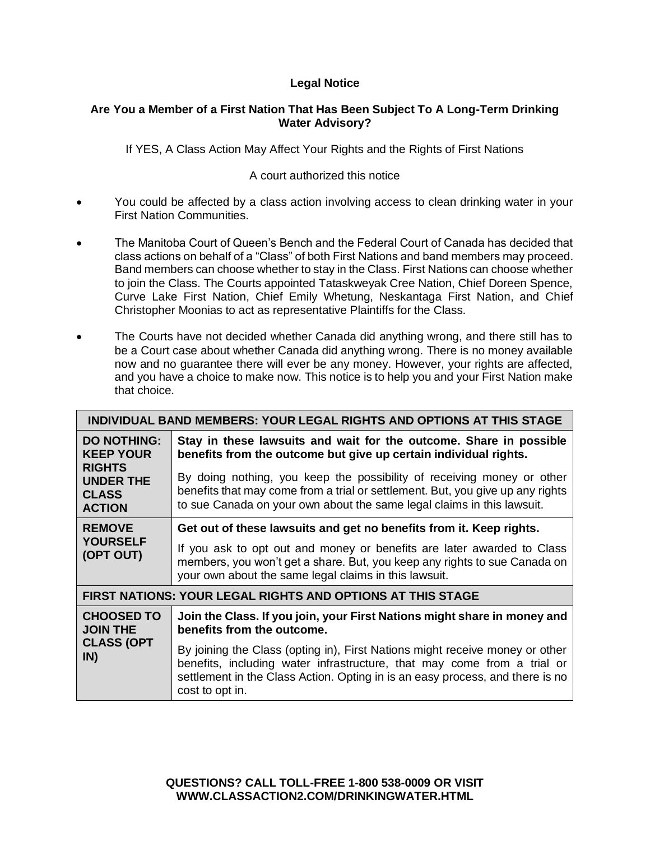# **Legal Notice**

### **Are You a Member of a First Nation That Has Been Subject To A Long-Term Drinking Water Advisory?**

If YES, A Class Action May Affect Your Rights and the Rights of First Nations

# A court authorized this notice

- You could be affected by a class action involving access to clean drinking water in your First Nation Communities.
- The Manitoba Court of Queen's Bench and the Federal Court of Canada has decided that class actions on behalf of a "Class" of both First Nations and band members may proceed. Band members can choose whether to stay in the Class. First Nations can choose whether to join the Class. The Courts appointed Tataskweyak Cree Nation, Chief Doreen Spence, Curve Lake First Nation, Chief Emily Whetung, Neskantaga First Nation, and Chief Christopher Moonias to act as representative Plaintiffs for the Class.
- The Courts have not decided whether Canada did anything wrong, and there still has to be a Court case about whether Canada did anything wrong. There is no money available now and no guarantee there will ever be any money. However, your rights are affected, and you have a choice to make now. This notice is to help you and your First Nation make that choice.

| INDIVIDUAL BAND MEMBERS: YOUR LEGAL RIGHTS AND OPTIONS AT THIS STAGE                                  |                                                                                                                                                                                                                                                             |  |  |
|-------------------------------------------------------------------------------------------------------|-------------------------------------------------------------------------------------------------------------------------------------------------------------------------------------------------------------------------------------------------------------|--|--|
| <b>DO NOTHING:</b><br><b>KEEP YOUR</b><br><b>RIGHTS</b><br>UNDER THE<br><b>CLASS</b><br><b>ACTION</b> | Stay in these lawsuits and wait for the outcome. Share in possible<br>benefits from the outcome but give up certain individual rights.                                                                                                                      |  |  |
|                                                                                                       | By doing nothing, you keep the possibility of receiving money or other<br>benefits that may come from a trial or settlement. But, you give up any rights<br>to sue Canada on your own about the same legal claims in this lawsuit.                          |  |  |
| <b>REMOVE</b><br><b>YOURSELF</b><br>(OPT OUT)                                                         | Get out of these lawsuits and get no benefits from it. Keep rights.                                                                                                                                                                                         |  |  |
|                                                                                                       | If you ask to opt out and money or benefits are later awarded to Class<br>members, you won't get a share. But, you keep any rights to sue Canada on<br>your own about the same legal claims in this lawsuit.                                                |  |  |
| <b>FIRST NATIONS: YOUR LEGAL RIGHTS AND OPTIONS AT THIS STAGE</b>                                     |                                                                                                                                                                                                                                                             |  |  |
| <b>CHOOSED TO</b><br><b>JOIN THE</b><br><b>CLASS (OPT</b><br>IN)                                      | Join the Class. If you join, your First Nations might share in money and<br>benefits from the outcome.                                                                                                                                                      |  |  |
|                                                                                                       | By joining the Class (opting in), First Nations might receive money or other<br>benefits, including water infrastructure, that may come from a trial or<br>settlement in the Class Action. Opting in is an easy process, and there is no<br>cost to opt in. |  |  |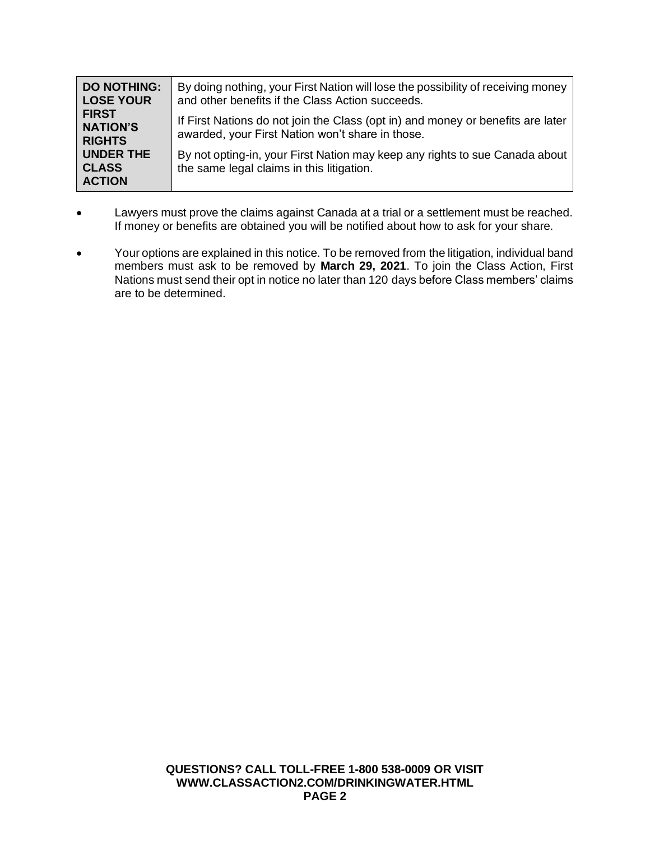| <b>DO NOTHING:</b><br><b>LOSE YOUR</b>            | By doing nothing, your First Nation will lose the possibility of receiving money<br>and other benefits if the Class Action succeeds. |
|---------------------------------------------------|--------------------------------------------------------------------------------------------------------------------------------------|
| <b>FIRST</b><br><b>NATION'S</b><br><b>RIGHTS</b>  | If First Nations do not join the Class (opt in) and money or benefits are later<br>awarded, your First Nation won't share in those.  |
| <b>UNDER THE</b><br><b>CLASS</b><br><b>ACTION</b> | By not opting-in, your First Nation may keep any rights to sue Canada about<br>the same legal claims in this litigation.             |

- Lawyers must prove the claims against Canada at a trial or a settlement must be reached. If money or benefits are obtained you will be notified about how to ask for your share.
- Your options are explained in this notice. To be removed from the litigation, individual band members must ask to be removed by **March 29, 2021**. To join the Class Action, First Nations must send their opt in notice no later than 120 days before Class members' claims are to be determined.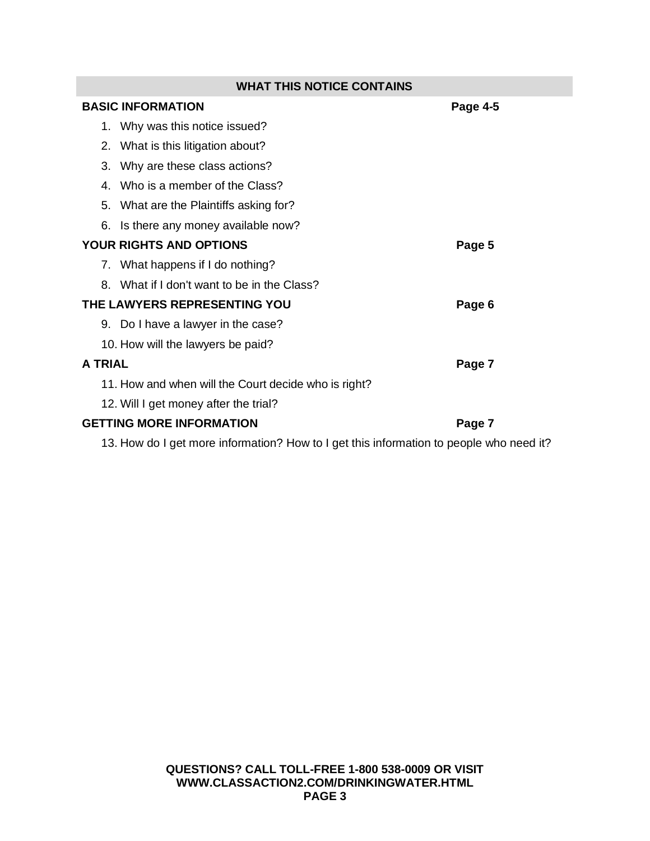| <b>WHAT THIS NOTICE CONTAINS</b>                                                        |          |  |
|-----------------------------------------------------------------------------------------|----------|--|
| <b>BASIC INFORMATION</b>                                                                | Page 4-5 |  |
| 1. Why was this notice issued?                                                          |          |  |
| 2. What is this litigation about?                                                       |          |  |
| Why are these class actions?<br>3.                                                      |          |  |
| Who is a member of the Class?<br>4.                                                     |          |  |
| What are the Plaintiffs asking for?<br>5.                                               |          |  |
| Is there any money available now?<br>6.                                                 |          |  |
| <b>YOUR RIGHTS AND OPTIONS</b>                                                          | Page 5   |  |
| 7. What happens if I do nothing?                                                        |          |  |
| What if I don't want to be in the Class?<br>8.                                          |          |  |
| THE LAWYERS REPRESENTING YOU                                                            | Page 6   |  |
| 9. Do I have a lawyer in the case?                                                      |          |  |
| 10. How will the lawyers be paid?                                                       |          |  |
| <b>A TRIAL</b>                                                                          | Page 7   |  |
| 11. How and when will the Court decide who is right?                                    |          |  |
| 12. Will I get money after the trial?                                                   |          |  |
| <b>GETTING MORE INFORMATION</b>                                                         | Page 7   |  |
| 13. How do I get more information? How to I get this information to people who need it? |          |  |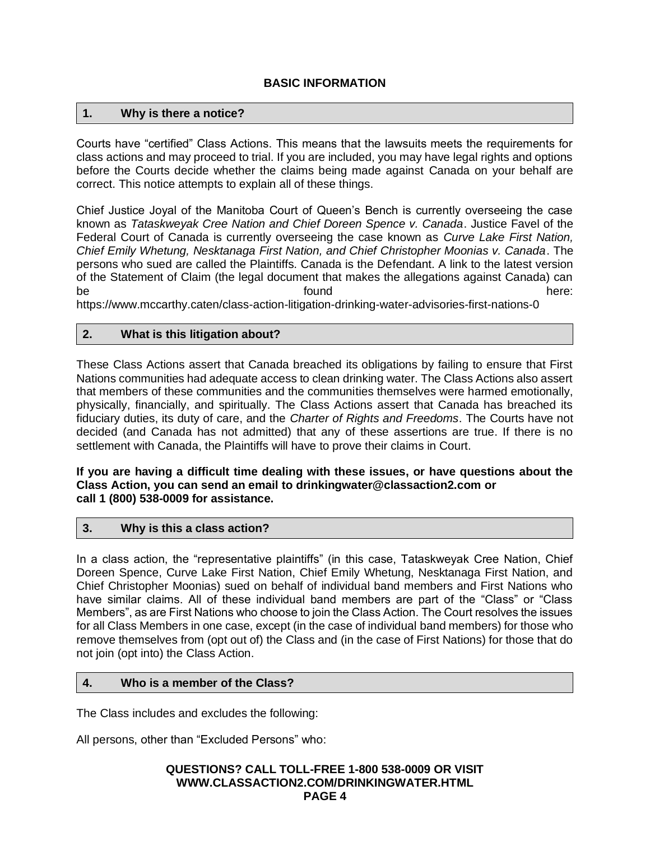### **1. Why is there a notice?**

Courts have "certified" Class Actions. This means that the lawsuits meets the requirements for class actions and may proceed to trial. If you are included, you may have legal rights and options before the Courts decide whether the claims being made against Canada on your behalf are correct. This notice attempts to explain all of these things.

Chief Justice Joyal of the Manitoba Court of Queen's Bench is currently overseeing the case known as *Tataskweyak Cree Nation and Chief Doreen Spence v. Canada*. Justice Favel of the Federal Court of Canada is currently overseeing the case known as *Curve Lake First Nation, Chief Emily Whetung, Nesktanaga First Nation, and Chief Christopher Moonias v. Canada*. The persons who sued are called the Plaintiffs. Canada is the Defendant. A link to the latest version of the Statement of Claim (the legal document that makes the allegations against Canada) can be found the found there:

https://www.mccarthy.caten/class-action-litigation-drinking-water-advisories-first-nations-0

### **2. What is this litigation about?**

These Class Actions assert that Canada breached its obligations by failing to ensure that First Nations communities had adequate access to clean drinking water. The Class Actions also assert that members of these communities and the communities themselves were harmed emotionally, physically, financially, and spiritually. The Class Actions assert that Canada has breached its fiduciary duties, its duty of care, and the *Charter of Rights and Freedoms*. The Courts have not decided (and Canada has not admitted) that any of these assertions are true. If there is no settlement with Canada, the Plaintiffs will have to prove their claims in Court.

**If you are having a difficult time dealing with these issues, or have questions about the Class Action, you can send an email to drinkingwater@classaction2.com or call 1 (800) 538-0009 for assistance.**

#### **3. Why is this a class action?**

In a class action, the "representative plaintiffs" (in this case, Tataskweyak Cree Nation, Chief Doreen Spence, Curve Lake First Nation, Chief Emily Whetung, Nesktanaga First Nation, and Chief Christopher Moonias) sued on behalf of individual band members and First Nations who have similar claims. All of these individual band members are part of the "Class" or "Class Members", as are First Nations who choose to join the Class Action. The Court resolves the issues for all Class Members in one case, except (in the case of individual band members) for those who remove themselves from (opt out of) the Class and (in the case of First Nations) for those that do not join (opt into) the Class Action.

## **4. Who is a member of the Class?**

The Class includes and excludes the following:

All persons, other than "Excluded Persons" who:

#### **QUESTIONS? CALL TOLL-FREE 1-800 538-0009 OR VISIT WWW.CLASSACTION2.COM/DRINKINGWATER.HTML PAGE 4**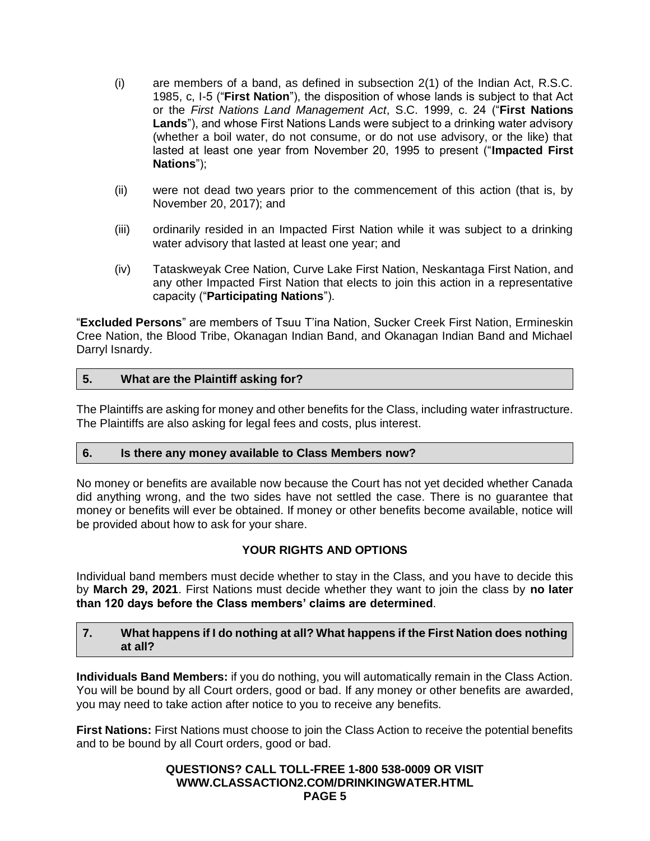- (i) are members of a band, as defined in subsection 2(1) of the Indian Act, R.S.C. 1985, c, I-5 ("**First Nation**"), the disposition of whose lands is subject to that Act or the *First Nations Land Management Act*, S.C. 1999, c. 24 ("**First Nations Lands**"), and whose First Nations Lands were subject to a drinking water advisory (whether a boil water, do not consume, or do not use advisory, or the like) that lasted at least one year from November 20, 1995 to present ("**Impacted First Nations**");
- (ii) were not dead two years prior to the commencement of this action (that is, by November 20, 2017); and
- (iii) ordinarily resided in an Impacted First Nation while it was subject to a drinking water advisory that lasted at least one year; and
- (iv) Tataskweyak Cree Nation, Curve Lake First Nation, Neskantaga First Nation, and any other Impacted First Nation that elects to join this action in a representative capacity ("**Participating Nations**").

"**Excluded Persons**" are members of Tsuu T'ina Nation, Sucker Creek First Nation, Ermineskin Cree Nation, the Blood Tribe, Okanagan Indian Band, and Okanagan Indian Band and Michael Darryl Isnardy.

## **5. What are the Plaintiff asking for?**

The Plaintiffs are asking for money and other benefits for the Class, including water infrastructure. The Plaintiffs are also asking for legal fees and costs, plus interest.

#### **6. Is there any money available to Class Members now?**

No money or benefits are available now because the Court has not yet decided whether Canada did anything wrong, and the two sides have not settled the case. There is no guarantee that money or benefits will ever be obtained. If money or other benefits become available, notice will be provided about how to ask for your share.

## **YOUR RIGHTS AND OPTIONS**

Individual band members must decide whether to stay in the Class, and you have to decide this by **March 29, 2021**. First Nations must decide whether they want to join the class by **no later than 120 days before the Class members' claims are determined**.

## **7. What happens if I do nothing at all? What happens if the First Nation does nothing at all?**

**Individuals Band Members:** if you do nothing, you will automatically remain in the Class Action. You will be bound by all Court orders, good or bad. If any money or other benefits are awarded, you may need to take action after notice to you to receive any benefits.

**First Nations:** First Nations must choose to join the Class Action to receive the potential benefits and to be bound by all Court orders, good or bad.

#### **QUESTIONS? CALL TOLL-FREE 1-800 538-0009 OR VISIT WWW.CLASSACTION2.COM/DRINKINGWATER.HTML PAGE 5**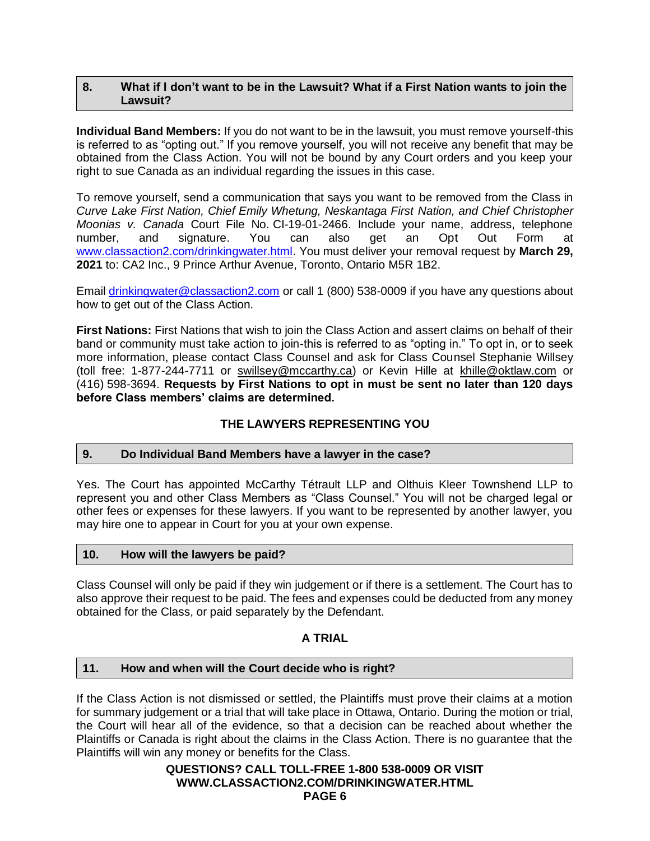### **8. What if I don't want to be in the Lawsuit? What if a First Nation wants to join the Lawsuit?**

**Individual Band Members:** If you do not want to be in the lawsuit, you must remove yourself-this is referred to as "opting out." If you remove yourself, you will not receive any benefit that may be obtained from the Class Action. You will not be bound by any Court orders and you keep your right to sue Canada as an individual regarding the issues in this case.

To remove yourself, send a communication that says you want to be removed from the Class in *Curve Lake First Nation, Chief Emily Whetung, Neskantaga First Nation, and Chief Christopher Moonias v. Canada* Court File No. CI-19-01-2466. Include your name, address, telephone number, and signature. You can also get an Opt Out Form at [www.classaction2.com/drinkingwater.html.](http://www.classaction2.com/drinkingwater.html) You must deliver your removal request by **March 29, 2021** to: CA2 Inc., 9 Prince Arthur Avenue, Toronto, Ontario M5R 1B2.

Email [drinkingwater@classaction2.com](mailto:drinkingwater@classaction2.com) or call 1 (800) 538-0009 if you have any questions about how to get out of the Class Action.

**First Nations:** First Nations that wish to join the Class Action and assert claims on behalf of their band or community must take action to join-this is referred to as "opting in." To opt in, or to seek more information, please contact Class Counsel and ask for Class Counsel Stephanie Willsey (toll free: 1-877-244-7711 or swillsey@mccarthy.ca) or Kevin Hille at khille@oktlaw.com or (416) 598-3694. **Requests by First Nations to opt in must be sent no later than 120 days before Class members' claims are determined.**

## **THE LAWYERS REPRESENTING YOU**

#### **9. Do Individual Band Members have a lawyer in the case?**

Yes. The Court has appointed McCarthy Tétrault LLP and Olthuis Kleer Townshend LLP to represent you and other Class Members as "Class Counsel." You will not be charged legal or other fees or expenses for these lawyers. If you want to be represented by another lawyer, you may hire one to appear in Court for you at your own expense.

## **10. How will the lawyers be paid?**

Class Counsel will only be paid if they win judgement or if there is a settlement. The Court has to also approve their request to be paid. The fees and expenses could be deducted from any money obtained for the Class, or paid separately by the Defendant.

# **A TRIAL**

## **11. How and when will the Court decide who is right?**

If the Class Action is not dismissed or settled, the Plaintiffs must prove their claims at a motion for summary judgement or a trial that will take place in Ottawa, Ontario. During the motion or trial, the Court will hear all of the evidence, so that a decision can be reached about whether the Plaintiffs or Canada is right about the claims in the Class Action. There is no guarantee that the Plaintiffs will win any money or benefits for the Class.

### **QUESTIONS? CALL TOLL-FREE 1-800 538-0009 OR VISIT WWW.CLASSACTION2.COM/DRINKINGWATER.HTML PAGE 6**